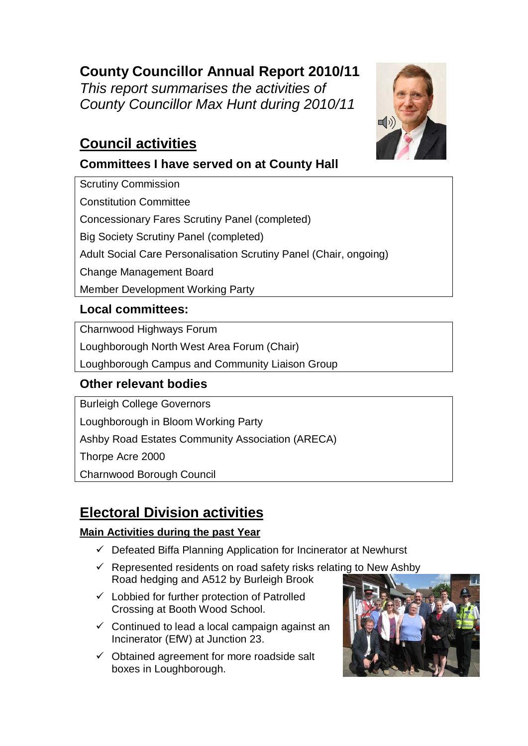## **County Councillor Annual Report 2010/11**

*This report summarises the activities of County Councillor Max Hunt during 2010/11*

## **Council activities**

### **Committees I have served on at County Hall**

Scrutiny Commission Constitution Committee Concessionary Fares Scrutiny Panel (completed) Big Society Scrutiny Panel (completed) Adult Social Care Personalisation Scrutiny Panel (Chair, ongoing) Change Management Board Member Development Working Party

### **Local committees:**

Charnwood Highways Forum

Loughborough North West Area Forum (Chair)

Loughborough Campus and Community Liaison Group

### **Other relevant bodies**

Burleigh College Governors

Loughborough in Bloom Working Party

Ashby Road Estates Community Association (ARECA)

Thorpe Acre 2000

Charnwood Borough Council

# **Electoral Division activities**

### **Main Activities during the past Year**

- $\checkmark$  Defeated Biffa Planning Application for Incinerator at Newhurst
- $\checkmark$  Represented residents on road safety risks relating to New Ashby Road hedging and A512 by Burleigh Brook
- $\checkmark$  Lobbied for further protection of Patrolled Crossing at Booth Wood School.
- $\checkmark$  Continued to lead a local campaign against an Incinerator (EfW) at Junction 23.
- $\checkmark$  Obtained agreement for more roadside salt boxes in Loughborough.



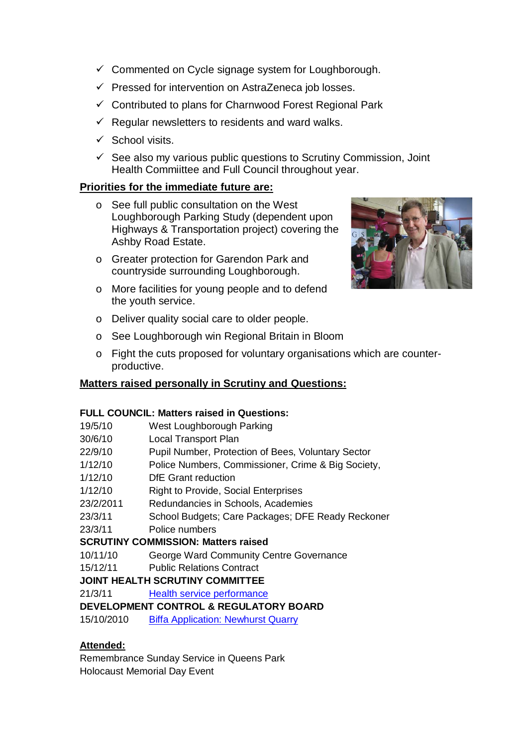- $\checkmark$  Commented on Cycle signage system for Loughborough.
- $\checkmark$  Pressed for intervention on AstraZeneca job losses.
- $\checkmark$  Contributed to plans for Charnwood Forest Regional Park
- $\checkmark$  Regular newsletters to residents and ward walks.
- $\checkmark$  School visits.
- $\checkmark$  See also my various public questions to Scrutiny Commission, Joint Health Commiittee and Full Council throughout year.

#### **Priorities for the immediate future are:**

- o See full public consultation on the West Loughborough Parking Study (dependent upon Highways & Transportation project) covering the Ashby Road Estate.
- o Greater protection for Garendon Park and countryside surrounding Loughborough.
- o More facilities for young people and to defend the youth service.



- o Deliver quality social care to older people.
- o See Loughborough win Regional Britain in Bloom
- o Fight the cuts proposed for voluntary organisations which are counterproductive.

#### **Matters raised personally in Scrutiny and Questions:**

#### **FULL COUNCIL: Matters raised in Questions:**

- 19/5/10 West Loughborough Parking
- 30/6/10 Local Transport Plan
- 22/9/10 Pupil Number, Protection of Bees, Voluntary Sector
- 1/12/10 Police Numbers, Commissioner, Crime & Big Society,
- 1/12/10 DfE Grant reduction
- 1/12/10 Right to Provide, Social Enterprises
- 23/2/2011 Redundancies in Schools, Academies
- 23/3/11 School Budgets; Care Packages; DFE Ready Reckoner
- 23/3/11 Police numbers

#### **SCRUTINY COMMISSION: Matters raised**

- 10/11/10 George Ward Community Centre Governance
- 15/12/11 Public Relations Contract

#### **JOINT HEALTH SCRUTINY COMMITTEE**

21/3/11 [Health service performance](http://politics.leics.gov.uk/ieListDocuments.aspx?CId=411&MId=3013&Ver=4)

#### **DEVELOPMENT CONTROL & REGULATORY BOARD**

15/10/2010 [Biffa Application: Newhurst Quarry](http://politics.leics.gov.uk/ieListDocuments.aspx?CId=144&MId=3131&Ver=4)

#### **Attended:**

Remembrance Sunday Service in Queens Park Holocaust Memorial Day Event